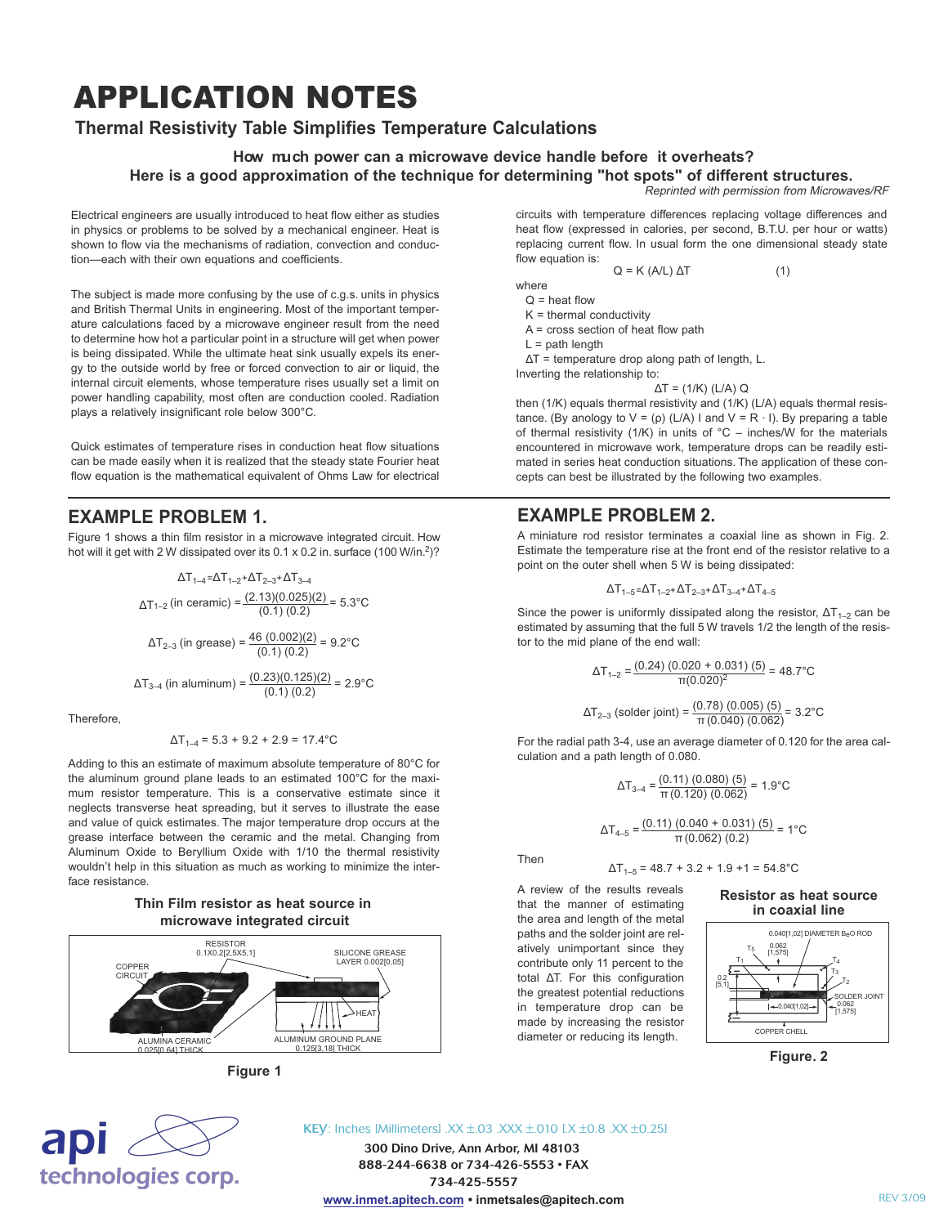# *APPLICATION NOTES*

## **Thermal Resistivity Table Simplifies Temperature Calculations**

## **How much power can a microwave device handle before it overheats?**

#### **Here is a good approximation of the technique for determining "hot spots" of different structures.** Reprinted with permission from Microwaves/RF

Electrical engineers are usually introduced to heat flow either as studies in physics or problems to be solved by a mechanical engineer. Heat is shown to flow via the mechanisms of radiation, convection and conduction—each with their own equations and coefficients.

The subject is made more confusing by the use of c.g.s. units in physics and British Thermal Units in engineering. Most of the important temperature calculations faced by a microwave engineer result from the need to determine how hot a particular point in a structure will get when power is being dissipated. While the ultimate heat sink usually expels its energy to the outside world by free or forced convection to air or liquid, the internal circuit elements, whose temperature rises usually set a limit on power handling capability, most often are conduction cooled. Radiation plays a relatively insignificant role below 300°C.

Quick estimates of temperature rises in conduction heat flow situations can be made easily when it is realized that the steady state Fourier heat flow equation is the mathematical equivalent of Ohms Law for electrical

### **EXAMPLE PROBLEM 1.**

Figure 1 shows a thin film resistor in a microwave integrated circuit. How hot will it get with 2 W dissipated over its 0.1 x 0.2 in. surface (100 W/in.<sup>2</sup>)?

$$
\Delta T_{1-4} = \Delta T_{1-2} + \Delta T_{2-3} + \Delta T_{3-4}
$$
  
\n
$$
\Delta T_{1-2}
$$
 (in ceramic) =  $\frac{(2.13)(0.025)(2)}{(0.1)(0.2)} = 5.3^{\circ}$ C  
\n
$$
\Delta T_{2-3}
$$
 (in grease) =  $\frac{46 (0.002)(2)}{(0.1)(0.2)} = 9.2^{\circ}$ C  
\n
$$
\Delta T_{3-4}
$$
 (in aluminum) =  $\frac{(0.23)(0.125)(2)}{(0.1)(0.2)} = 2.9^{\circ}$ C

Therefore,

$$
\Delta T_{1-4} = 5.3 + 9.2 + 2.9 = 17.4^{\circ}\text{C}
$$

Adding to this an estimate of maximum absolute temperature of 80°C for the aluminum ground plane leads to an estimated 100°C for the maximum resistor temperature. This is a conservative estimate since it neglects transverse heat spreading, but it serves to illustrate the ease and value of quick estimates. The major temperature drop occurs at the grease interface between the ceramic and the metal. Changing from Aluminum Oxide to Beryllium Oxide with 1/10 the thermal resistivity wouldn't help in this situation as much as working to minimize the interface resistance.

#### **Thin Film resistor as heat source in microwave integrated circuit**



**Figure 1**

circuits with temperature differences replacing voltage differences and heat flow (expressed in calories, per second, B.T.U. per hour or watts) replacing current flow. In usual form the one dimensional steady state flow equation is:

$$
Q = K (A/L) \Delta T \tag{1}
$$

where  $Q =$  heat flow

 $K =$  thermal conductivity

A = cross section of heat flow path

 $L =$  path length

ΔT = temperature drop along path of length, L.

Inverting the relationship to:

$$
\Delta T = (1/K) (L/A) Q
$$

then (1/K) equals thermal resistivity and (1/K) (L/A) equals thermal resistance. (By anology to  $V = (p) (L/A) I$  and  $V = R \cdot I$ ). By preparing a table of thermal resistivity (1/K) in units of  $°C$  – inches/W for the materials encountered in microwave work, temperature drops can be readily estimated in series heat conduction situations. The application of these concepts can best be illustrated by the following two examples.

### **EXAMPLE PROBLEM 2.**

A miniature rod resistor terminates a coaxial line as shown in Fig. 2. Estimate the temperature rise at the front end of the resistor relative to a point on the outer shell when 5 W is being dissipated:

$$
\Delta T_{1-5} = \Delta T_{1-2} + \Delta T_{2-3} + \Delta T_{3-4} + \Delta T_{4-5}
$$

Since the power is uniformly dissipated along the resistor,  $\Delta T_{1-2}$  can be estimated by assuming that the full 5 W travels 1/2 the length of the resistor to the mid plane of the end wall:

$$
\Delta T_{1-2} = \frac{(0.24)(0.020 + 0.031)(5)}{\pi (0.020)^2} = 48.7^{\circ} \text{C}
$$
  

$$
\Delta T_{2-3} \text{ (solder joint)} = \frac{(0.78)(0.005)(5)}{\pi (0.040)(0.062)} = 3.2^{\circ} \text{C}
$$

For the radial path 3-4, use an average diameter of 0.120 for the area calculation and a path length of 0.080.

$$
\Delta T_{3-4} = \frac{(0.11) (0.080) (5)}{\pi (0.120) (0.062)} = 1.9^{\circ}C
$$

$$
\Delta T_{4-5} = \frac{(0.11) (0.040 + 0.031) (5)}{\pi (0.062) (0.2)} = 1^{\circ}C
$$

Then

 $\Delta$ T<sub>1-5</sub> = 48.7 + 3.2 + 1.9 +1 = 54.8°C

A review of the results reveals that the manner of estimating the area and length of the metal paths and the solder joint are relatively unimportant since they contribute only 11 percent to the total ΔT. For this configuration the greatest potential reductions in temperature drop can be made by increasing the resistor diameter or reducing its length.

#### **Resistor as heat source in coaxial line**



**Figure. 2**



KEY: Inches [Millimeters] .XX ±.03 .XXX ±.010 [.X ±0.8 .XX ±0.25]

300 Dino Drive, Ann Arbor, MI 48103 888-244-6638 or 734-426-5553 • FAX 734-425-5557 **www.inmet.apitech.com • inmetsales@apitech.com**